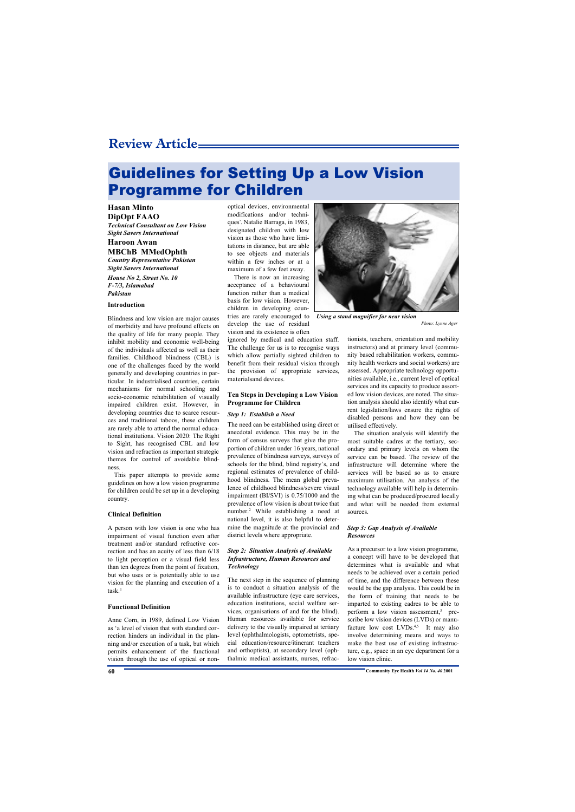# Guidelines for Setting Up a Low Vision Programme for Children

#### **Hasan Minto DipOpt FAAO**

*Technical Consultant on Low Vision Sight Savers International*

## **Haroon Awan MBChB MMedOphth**

*Country Representative Pakistan Sight Savers International*

*House No 2, Street No. 10 F-7/3, Islamabad Pakistan*

#### **Introduction**

Blindness and low vision are major causes of morbidity and have profound effects on the quality of life for many people. They inhibit mobility and economic well-being of the individuals affected as well as their families. Childhood blindness (CBL) is one of the challenges faced by the world generally and developing countries in particular. In industrialised countries, certain mechanisms for normal schooling and socio-economic rehabilitation of visually impaired children exist. However, in developing countries due to scarce resources and traditional taboos, these children are rarely able to attend the normal educational institutions. Vision 2020: The Right to Sight, has recognised CBL and low vision and refraction as important strategic themes for control of avoidable blindness.

This paper attempts to provide some guidelines on how a low vision programme for children could be set up in a developing country.

#### **Clinical Definition**

A person with low vision is one who has impairment of visual function even after treatment and/or standard refractive correction and has an acuity of less than 6/18 to light perception or a visual field less than ten degrees from the point of fixation, but who uses or is potentially able to use vision for the planning and execution of a  $task.<sup>1</sup>$ 

#### **Functional Definition**

Anne Corn, in 1989, defined Low Vision as 'a level of vision that with standard correction hinders an individual in the planning and/or execution of a task, but which permits enhancement of the functional vision through the use of optical or non-

optical devices, environmental modifications and/or techniques'. Natalie Barraga, in 1983, designated children with low vision as those who have limitations in distance, but are able to see objects and materials within a few inches or at a maximum of a few feet away.

There is now an increasing acceptance of a behavioural function rather than a medical basis for low vision. However, children in developing countries are rarely encouraged to develop the use of residual vision and its existence is often

ignored by medical and education staff. The challenge for us is to recognise ways which allow partially sighted children to benefit from their residual vision through the provision of appropriate services, materialsand devices.

#### **Ten Steps in Developing a Low Vision Programme for Children**

#### *Step 1: Establish a Need*

The need can be established using direct or anecdotal evidence. This may be in the form of census surveys that give the proportion of children under 16 years, national prevalence of blindness surveys, surveys of schools for the blind, blind registry's, and regional estimates of prevalence of childhood blindness. The mean global prevalence of childhood blindness/severe visual impairment (BI/SVI) is 0.75/1000 and the prevalence of low vision is about twice that number.<sup>2</sup> While establishing a need at national level, it is also helpful to determine the magnitude at the provincial and district levels where appropriate.

#### *Step 2: Situation Analysis of Available Infrastructure, Human Resources and Technology*

The next step in the sequence of planning is to conduct a situation analysis of the available infrastructure (eye care services, education institutions, social welfare services, organisations of and for the blind). Human resources available for service delivery to the visually impaired at tertiary level (ophthalmologists, optometrists, special education/resource/itinerant teachers and orthoptists), at secondary level (ophthalmic medical assistants, nurses, refrac-



*Using a stand magnifier for near vision*

*Photo: Lynne Ager*

tionists, teachers, orientation and mobility instructors) and at primary level (community based rehabilitation workers, community health workers and social workers) are assessed. Appropriate technology opportunities available, i.e., current level of optical services and its capacity to produce assorted low vision devices, are noted. The situation analysis should also identify what current legislation/laws ensure the rights of disabled persons and how they can be utilised effectively.

The situation analysis will identify the most suitable cadres at the tertiary, secondary and primary levels on whom the service can be based. The review of the infrastructure will determine where the services will be based so as to ensure maximum utilisation. An analysis of the technology available will help in determining what can be produced/procured locally and what will be needed from external sources.

#### *Step 3: Gap Analysis of Available Resources*

As a precursor to a low vision programme, a concept will have to be developed that determines what is available and what needs to be achieved over a certain period of time, and the difference between these would be the gap analysis. This could be in the form of training that needs to be imparted to existing cadres to be able to perform a low vision assessment,<sup>3</sup> prescribe low vision devices (LVDs) or manufacture low cost  $LVDs^{4,5}$  It may also involve determining means and ways to make the best use of existing infrastructure, e.g., space in an eye department for a low vision clinic.